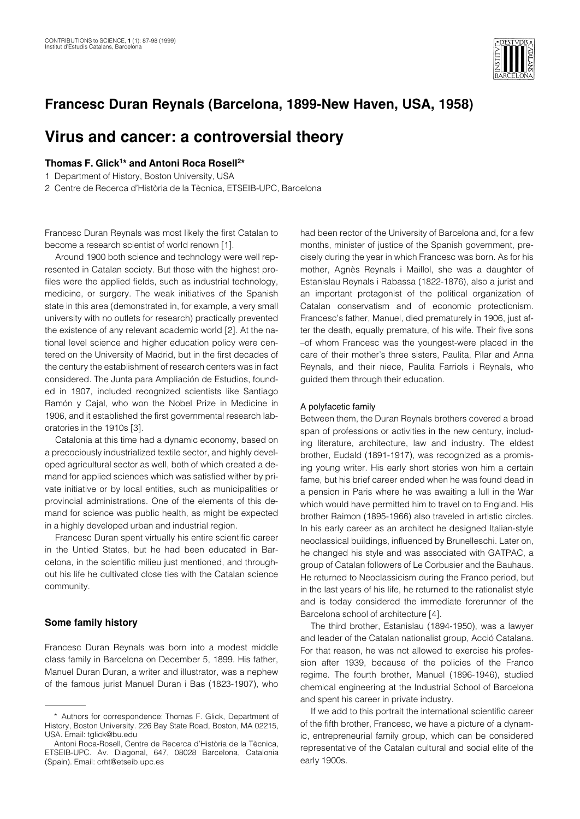

# **Francesc Duran Reynals (Barcelona, 1899-New Haven, USA, 1958)**

# **Virus and cancer: a controversial theory**

## **Thomas F. Glick1\* and Antoni Roca Rosell2\***

1 Department of History, Boston University, USA

2 Centre de Recerca d'Història de la Tècnica, ETSEIB-UPC, Barcelona

Francesc Duran Reynals was most likely the first Catalan to become a research scientist of world renown [1].

Around 1900 both science and technology were well represented in Catalan society. But those with the highest profiles were the applied fields, such as industrial technology, medicine, or surgery. The weak initiatives of the Spanish state in this area (demonstrated in, for example, a very small university with no outlets for research) practically prevented the existence of any relevant academic world [2]. At the national level science and higher education policy were centered on the University of Madrid, but in the first decades of the century the establishment of research centers was in fact considered. The Junta para Ampliación de Estudios, founded in 1907, included recognized scientists like Santiago Ramón y Cajal, who won the Nobel Prize in Medicine in 1906, and it established the first governmental research laboratories in the 1910s [3].

Catalonia at this time had a dynamic economy, based on a precociously industrialized textile sector, and highly developed agricultural sector as well, both of which created a demand for applied sciences which was satisfied wither by private initiative or by local entities, such as municipalities or provincial administrations. One of the elements of this demand for science was public health, as might be expected in a highly developed urban and industrial region.

Francesc Duran spent virtually his entire scientific career in the Untied States, but he had been educated in Barcelona, in the scientific milieu just mentioned, and throughout his life he cultivated close ties with the Catalan science community.

## **Some family history**

Francesc Duran Reynals was born into a modest middle class family in Barcelona on December 5, 1899. His father, Manuel Duran Duran, a writer and illustrator, was a nephew of the famous jurist Manuel Duran i Bas (1823-1907), who had been rector of the University of Barcelona and, for a few months, minister of justice of the Spanish government, precisely during the year in which Francesc was born. As for his mother, Agnès Reynals i Maillol, she was a daughter of Estanislau Reynals i Rabassa (1822-1876), also a jurist and an important protagonist of the political organization of Catalan conservatism and of economic protectionism. Francesc's father, Manuel, died prematurely in 1906, just after the death, equally premature, of his wife. Their five sons –of whom Francesc was the youngest-were placed in the care of their mother's three sisters, Paulita, Pilar and Anna Reynals, and their niece, Paulita Farriols i Reynals, who guided them through their education.

#### A polyfacetic family

Between them, the Duran Reynals brothers covered a broad span of professions or activities in the new century, including literature, architecture, law and industry. The eldest brother, Eudald (1891-1917), was recognized as a promising young writer. His early short stories won him a certain fame, but his brief career ended when he was found dead in a pension in Paris where he was awaiting a lull in the War which would have permitted him to travel on to England. His brother Raimon (1895-1966) also traveled in artistic circles. In his early career as an architect he designed Italian-style neoclassical buildings, influenced by Brunelleschi. Later on, he changed his style and was associated with GATPAC, a group of Catalan followers of Le Corbusier and the Bauhaus. He returned to Neoclassicism during the Franco period, but in the last years of his life, he returned to the rationalist style and is today considered the immediate forerunner of the Barcelona school of architecture [4].

The third brother, Estanislau (1894-1950), was a lawyer and leader of the Catalan nationalist group, Acció Catalana. For that reason, he was not allowed to exercise his profession after 1939, because of the policies of the Franco regime. The fourth brother, Manuel (1896-1946), studied chemical engineering at the Industrial School of Barcelona and spent his career in private industry.

If we add to this portrait the international scientific career of the fifth brother, Francesc, we have a picture of a dynamic, entrepreneurial family group, which can be considered representative of the Catalan cultural and social elite of the early 1900s.

<sup>\*</sup> Authors for correspondence: Thomas F. Glick, Department of History, Boston University. 226 Bay State Road, Boston, MA 02215, USA. Email: tglick@bu.edu

Antoni Roca-Rosell, Centre de Recerca d'Història de la Tècnica, ETSEIB-UPC. Av. Diagonal, 647, 08028 Barcelona, Catalonia (Spain). Email: crht@etseib.upc.es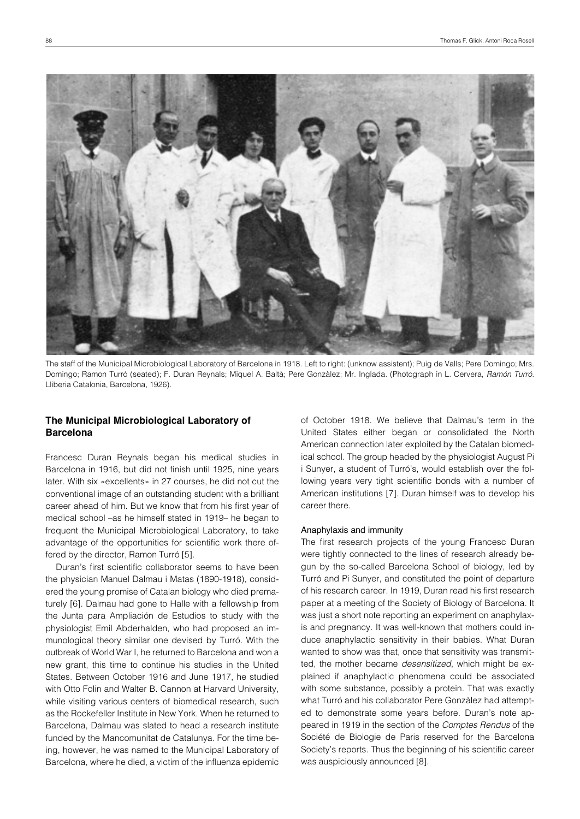

The staff of the Municipal Microbiological Laboratory of Barcelona in 1918. Left to right: (unknow assistent); Puig de Valls; Pere Domingo; Mrs. Domingo; Ramon Turró (seated); F. Duran Reynals; Miquel A. Baltà; Pere Gonzàlez; Mr. Inglada. (Photograph in L. Cervera, *Ramón Turró*. Lliberia Catalonia, Barcelona, 1926).

## **The Municipal Microbiological Laboratory of Barcelona**

Francesc Duran Reynals began his medical studies in Barcelona in 1916, but did not finish until 1925, nine years later. With six «excellents» in 27 courses, he did not cut the conventional image of an outstanding student with a brilliant career ahead of him. But we know that from his first year of medical school –as he himself stated in 1919– he began to frequent the Municipal Microbiological Laboratory, to take advantage of the opportunities for scientific work there offered by the director, Ramon Turró [5].

Duran's first scientific collaborator seems to have been the physician Manuel Dalmau i Matas (1890-1918), considered the young promise of Catalan biology who died prematurely [6]. Dalmau had gone to Halle with a fellowship from the Junta para Ampliación de Estudios to study with the physiologist Emil Abderhalden, who had proposed an immunological theory similar one devised by Turró. With the outbreak of World War I, he returned to Barcelona and won a new grant, this time to continue his studies in the United States. Between October 1916 and June 1917, he studied with Otto Folin and Walter B. Cannon at Harvard University, while visiting various centers of biomedical research, such as the Rockefeller Institute in New York. When he returned to Barcelona, Dalmau was slated to head a research institute funded by the Mancomunitat de Catalunya. For the time being, however, he was named to the Municipal Laboratory of Barcelona, where he died, a victim of the influenza epidemic

of October 1918. We believe that Dalmau's term in the United States either began or consolidated the North American connection later exploited by the Catalan biomedical school. The group headed by the physiologist August Pi i Sunyer, a student of Turró's, would establish over the following years very tight scientific bonds with a number of American institutions [7]. Duran himself was to develop his career there.

#### Anaphylaxis and immunity

The first research projects of the young Francesc Duran were tightly connected to the lines of research already begun by the so-called Barcelona School of biology, led by Turró and Pi Sunyer, and constituted the point of departure of his research career. In 1919, Duran read his first research paper at a meeting of the Society of Biology of Barcelona. It was just a short note reporting an experiment on anaphylaxis and pregnancy. It was well-known that mothers could induce anaphylactic sensitivity in their babies. What Duran wanted to show was that, once that sensitivity was transmitted, the mother became *desensitized*, which might be explained if anaphylactic phenomena could be associated with some substance, possibly a protein. That was exactly what Turró and his collaborator Pere Gonzàlez had attempted to demonstrate some years before. Duran's note appeared in 1919 in the section of the *Comptes Rendus* of the Société de Biologie de Paris reserved for the Barcelona Society's reports. Thus the beginning of his scientific career was auspiciously announced [8].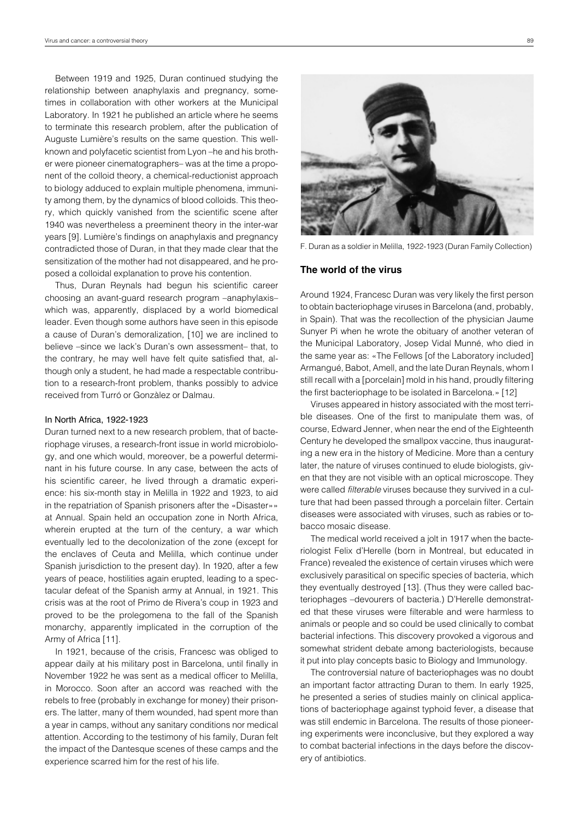Between 1919 and 1925, Duran continued studying the relationship between anaphylaxis and pregnancy, sometimes in collaboration with other workers at the Municipal Laboratory. In 1921 he published an article where he seems to terminate this research problem, after the publication of Auguste Lumière's results on the same question. This wellknown and polyfacetic scientist from Lyon –he and his brother were pioneer cinematographers– was at the time a proponent of the colloid theory, a chemical-reductionist approach to biology adduced to explain multiple phenomena, immunity among them, by the dynamics of blood colloids. This theory, which quickly vanished from the scientific scene after 1940 was nevertheless a preeminent theory in the inter-war years [9]. Lumière's findings on anaphylaxis and pregnancy contradicted those of Duran, in that they made clear that the sensitization of the mother had not disappeared, and he proposed a colloidal explanation to prove his contention.

Thus, Duran Reynals had begun his scientific career choosing an avant-guard research program –anaphylaxis– which was, apparently, displaced by a world biomedical leader. Even though some authors have seen in this episode a cause of Duran's demoralization, [10] we are inclined to believe –since we lack's Duran's own assessment– that, to the contrary, he may well have felt quite satisfied that, although only a student, he had made a respectable contribution to a research-front problem, thanks possibly to advice received from Turró or Gonzàlez or Dalmau.

#### In North Africa, 1922-1923

Duran turned next to a new research problem, that of bacteriophage viruses, a research-front issue in world microbiology, and one which would, moreover, be a powerful determinant in his future course. In any case, between the acts of his scientific career, he lived through a dramatic experience: his six-month stay in Melilla in 1922 and 1923, to aid in the repatriation of Spanish prisoners after the «Disaster»» at Annual. Spain held an occupation zone in North Africa, wherein erupted at the turn of the century, a war which eventually led to the decolonization of the zone (except for the enclaves of Ceuta and Melilla, which continue under Spanish jurisdiction to the present day). In 1920, after a few years of peace, hostilities again erupted, leading to a spectacular defeat of the Spanish army at Annual, in 1921. This crisis was at the root of Primo de Rivera's coup in 1923 and proved to be the prolegomena to the fall of the Spanish monarchy, apparently implicated in the corruption of the Army of Africa [11].

In 1921, because of the crisis, Francesc was obliged to appear daily at his military post in Barcelona, until finally in November 1922 he was sent as a medical officer to Melilla, in Morocco. Soon after an accord was reached with the rebels to free (probably in exchange for money) their prisoners. The latter, many of them wounded, had spent more than a year in camps, without any sanitary conditions nor medical attention. According to the testimony of his family, Duran felt the impact of the Dantesque scenes of these camps and the experience scarred him for the rest of his life.



F. Duran as a soldier in Melilla, 1922-1923 (Duran Family Collection)

### **The world of the virus**

Around 1924, Francesc Duran was very likely the first person to obtain bacteriophage viruses in Barcelona (and, probably, in Spain). That was the recollection of the physician Jaume Sunyer Pi when he wrote the obituary of another veteran of the Municipal Laboratory, Josep Vidal Munné, who died in the same year as: «The Fellows [of the Laboratory included] Armangué, Babot, Amell, and the late Duran Reynals, whom I still recall with a [porcelain] mold in his hand, proudly filtering the first bacteriophage to be isolated in Barcelona.» [12]

Viruses appeared in history associated with the most terrible diseases. One of the first to manipulate them was, of course, Edward Jenner, when near the end of the Eighteenth Century he developed the smallpox vaccine, thus inaugurating a new era in the history of Medicine. More than a century later, the nature of viruses continued to elude biologists, given that they are not visible with an optical microscope. They were called *filterable* viruses because they survived in a culture that had been passed through a porcelain filter. Certain diseases were associated with viruses, such as rabies or tobacco mosaic disease.

The medical world received a jolt in 1917 when the bacteriologist Felix d'Herelle (born in Montreal, but educated in France) revealed the existence of certain viruses which were exclusively parasitical on specific species of bacteria, which they eventually destroyed [13]. (Thus they were called bacteriophages –devourers of bacteria.) D'Herelle demonstrated that these viruses were filterable and were harmless to animals or people and so could be used clinically to combat bacterial infections. This discovery provoked a vigorous and somewhat strident debate among bacteriologists, because it put into play concepts basic to Biology and Immunology.

The controversial nature of bacteriophages was no doubt an important factor attracting Duran to them. In early 1925, he presented a series of studies mainly on clinical applications of bacteriophage against typhoid fever, a disease that was still endemic in Barcelona. The results of those pioneering experiments were inconclusive, but they explored a way to combat bacterial infections in the days before the discovery of antibiotics.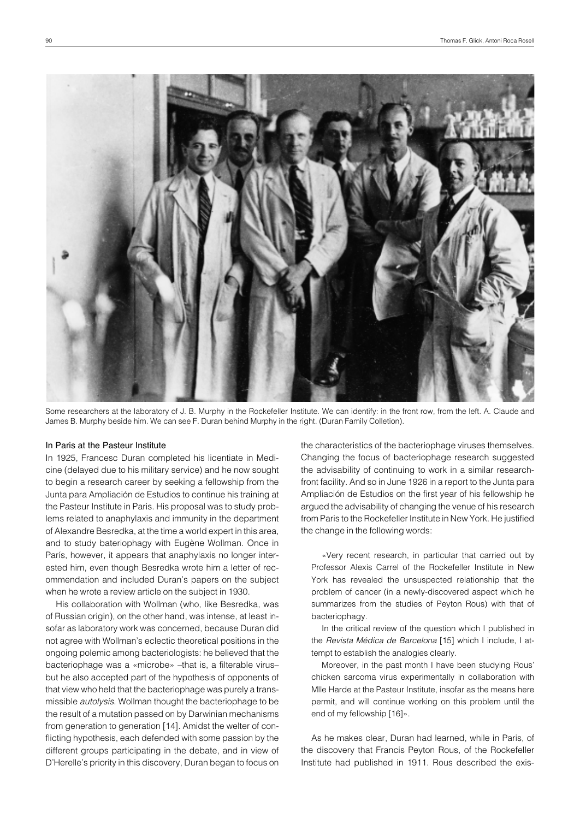

Some researchers at the laboratory of J. B. Murphy in the Rockefeller Institute. We can identify: in the front row, from the left. A. Claude and James B. Murphy beside him. We can see F. Duran behind Murphy in the right. (Duran Family Colletion).

### In Paris at the Pasteur Institute

In 1925, Francesc Duran completed his licentiate in Medicine (delayed due to his military service) and he now sought to begin a research career by seeking a fellowship from the Junta para Ampliación de Estudios to continue his training at the Pasteur Institute in Paris. His proposal was to study problems related to anaphylaxis and immunity in the department of Alexandre Besredka, at the time a world expert in this area, and to study bateriophagy with Eugène Wollman. Once in París, however, it appears that anaphylaxis no longer interested him, even though Besredka wrote him a letter of recommendation and included Duran's papers on the subject when he wrote a review article on the subject in 1930.

His collaboration with Wollman (who, like Besredka, was of Russian origin), on the other hand, was intense, at least insofar as laboratory work was concerned, because Duran did not agree with Wollman's eclectic theoretical positions in the ongoing polemic among bacteriologists: he believed that the bacteriophage was a «microbe» -that is, a filterable virusbut he also accepted part of the hypothesis of opponents of that view who held that the bacteriophage was purely a transmissible *autolysis*. Wollman thought the bacteriophage to be the result of a mutation passed on by Darwinian mechanisms from generation to generation [14]. Amidst the welter of conflicting hypothesis, each defended with some passion by the different groups participating in the debate, and in view of D'Herelle's priority in this discovery, Duran began to focus on the characteristics of the bacteriophage viruses themselves. Changing the focus of bacteriophage research suggested the advisability of continuing to work in a similar researchfront facility. And so in June 1926 in a report to the Junta para Ampliación de Estudios on the first year of his fellowship he argued the advisability of changing the venue of his research from Paris to the Rockefeller Institute in New York. He justified the change in the following words:

«Very recent research, in particular that carried out by Professor Alexis Carrel of the Rockefeller Institute in New York has revealed the unsuspected relationship that the problem of cancer (in a newly-discovered aspect which he summarizes from the studies of Peyton Rous) with that of bacteriophagy.

In the critical review of the question which I published in the *Revista Médica de Barcelona* [15] which I include, I attempt to establish the analogies clearly.

Moreover, in the past month I have been studying Rous' chicken sarcoma virus experimentally in collaboration with Mlle Harde at the Pasteur Institute, insofar as the means here permit, and will continue working on this problem until the end of my fellowship [16]».

As he makes clear, Duran had learned, while in Paris, of the discovery that Francis Peyton Rous, of the Rockefeller Institute had published in 1911. Rous described the exis-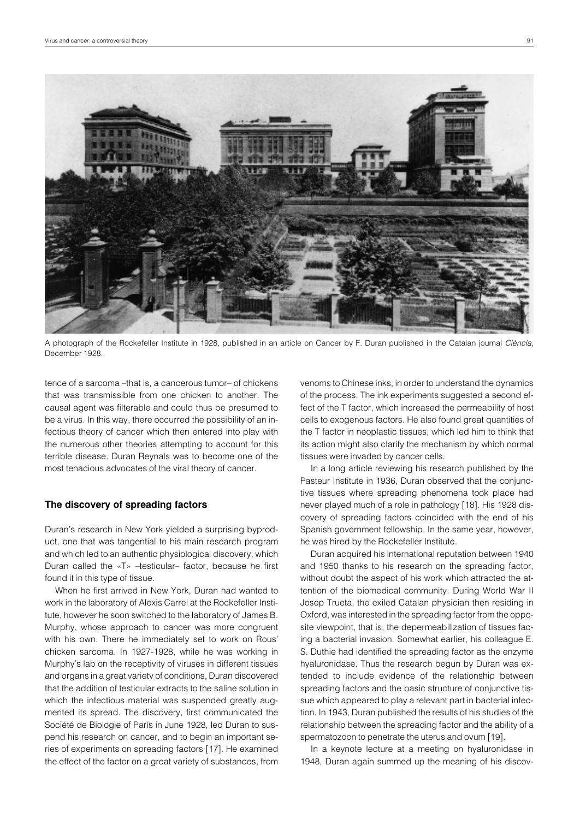

A photograph of the Rockefeller Institute in 1928, published in an article on Cancer by F. Duran published in the Catalan journal *Ciència*, December 1928.

tence of a sarcoma –that is, a cancerous tumor– of chickens that was transmissible from one chicken to another. The causal agent was filterable and could thus be presumed to be a virus. In this way, there occurred the possibility of an infectious theory of cancer which then entered into play with the numerous other theories attempting to account for this terrible disease. Duran Reynals was to become one of the most tenacious advocates of the viral theory of cancer.

#### **The discovery of spreading factors**

Duran's research in New York yielded a surprising byproduct, one that was tangential to his main research program and which led to an authentic physiological discovery, which Duran called the «T» –testicular– factor, because he first found it in this type of tissue.

When he first arrived in New York, Duran had wanted to work in the laboratory of Alexis Carrel at the Rockefeller Institute, however he soon switched to the laboratory of James B. Murphy, whose approach to cancer was more congruent with his own. There he immediately set to work on Rous' chicken sarcoma. In 1927-1928, while he was working in Murphy's lab on the receptivity of viruses in different tissues and organs in a great variety of conditions, Duran discovered that the addition of testicular extracts to the saline solution in which the infectious material was suspended greatly augmented its spread. The discovery, first communicated the Société de Biologie of París in June 1928, led Duran to suspend his research on cancer, and to begin an important series of experiments on spreading factors [17]. He examined the effect of the factor on a great variety of substances, from

venoms to Chinese inks, in order to understand the dynamics of the process. The ink experiments suggested a second effect of the T factor, which increased the permeability of host cells to exogenous factors. He also found great quantities of the T factor in neoplastic tissues, which led him to think that its action might also clarify the mechanism by which normal tissues were invaded by cancer cells.

In a long article reviewing his research published by the Pasteur Institute in 1936, Duran observed that the conjunctive tissues where spreading phenomena took place had never played much of a role in pathology [18]. His 1928 discovery of spreading factors coincided with the end of his Spanish government fellowship. In the same year, however, he was hired by the Rockefeller Institute.

Duran acquired his international reputation between 1940 and 1950 thanks to his research on the spreading factor, without doubt the aspect of his work which attracted the attention of the biomedical community. During World War II Josep Trueta, the exiled Catalan physician then residing in Oxford, was interested in the spreading factor from the opposite viewpoint, that is, the depermeabilization of tissues facing a bacterial invasion. Somewhat earlier, his colleague E. S. Duthie had identified the spreading factor as the enzyme hyaluronidase. Thus the research begun by Duran was extended to include evidence of the relationship between spreading factors and the basic structure of conjunctive tissue which appeared to play a relevant part in bacterial infection. In 1943, Duran published the results of his studies of the relationship between the spreading factor and the ability of a spermatozoon to penetrate the uterus and ovum [19].

In a keynote lecture at a meeting on hyaluronidase in 1948, Duran again summed up the meaning of his discov-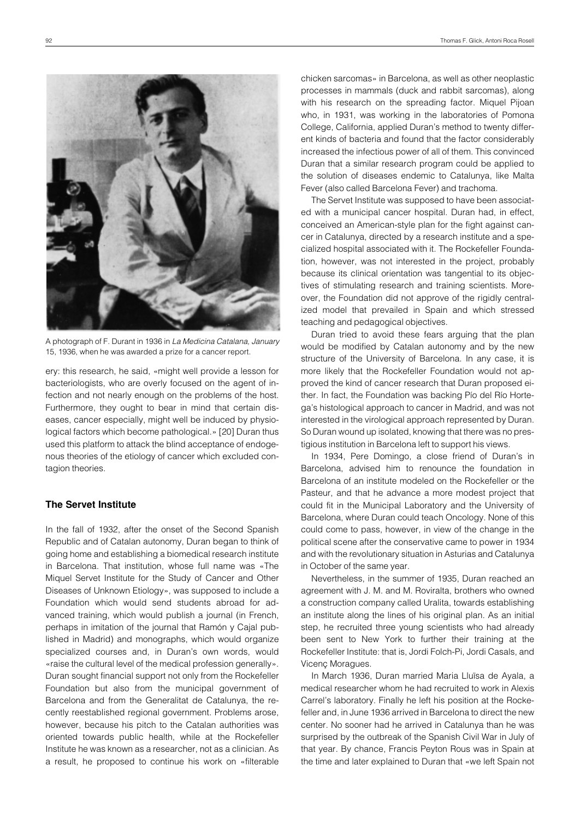

A photograph of F. Durant in 1936 in *La Medicina Catalana, January* 15, 1936, when he was awarded a prize for a cancer report.

ery: this research, he said, «might well provide a lesson for bacteriologists, who are overly focused on the agent of infection and not nearly enough on the problems of the host. Furthermore, they ought to bear in mind that certain diseases, cancer especially, might well be induced by physiological factors which become pathological.» [20] Duran thus used this platform to attack the blind acceptance of endogenous theories of the etiology of cancer which excluded contagion theories.

### **The Servet Institute**

In the fall of 1932, after the onset of the Second Spanish Republic and of Catalan autonomy, Duran began to think of going home and establishing a biomedical research institute in Barcelona. That institution, whose full name was «The Miquel Servet Institute for the Study of Cancer and Other Diseases of Unknown Etiology», was supposed to include a Foundation which would send students abroad for advanced training, which would publish a journal (in French, perhaps in imitation of the journal that Ramón y Cajal published in Madrid) and monographs, which would organize specialized courses and, in Duran's own words, would «raise the cultural level of the medical profession generally». Duran sought financial support not only from the Rockefeller Foundation but also from the municipal government of Barcelona and from the Generalitat de Catalunya, the recently reestablished regional government. Problems arose, however, because his pitch to the Catalan authorities was oriented towards public health, while at the Rockefeller Institute he was known as a researcher, not as a clinician. As a result, he proposed to continue his work on «filterable

chicken sarcomas» in Barcelona, as well as other neoplastic processes in mammals (duck and rabbit sarcomas), along with his research on the spreading factor. Miquel Pijoan who, in 1931, was working in the laboratories of Pomona College, California, applied Duran's method to twenty different kinds of bacteria and found that the factor considerably increased the infectious power of all of them. This convinced Duran that a similar research program could be applied to the solution of diseases endemic to Catalunya, like Malta Fever (also called Barcelona Fever) and trachoma.

The Servet Institute was supposed to have been associated with a municipal cancer hospital. Duran had, in effect, conceived an American-style plan for the fight against cancer in Catalunya, directed by a research institute and a specialized hospital associated with it. The Rockefeller Foundation, however, was not interested in the project, probably because its clinical orientation was tangential to its objectives of stimulating research and training scientists. Moreover, the Foundation did not approve of the rigidly centralized model that prevailed in Spain and which stressed teaching and pedagogical objectives.

Duran tried to avoid these fears arguing that the plan would be modified by Catalan autonomy and by the new structure of the University of Barcelona. In any case, it is more likely that the Rockefeller Foundation would not approved the kind of cancer research that Duran proposed either. In fact, the Foundation was backing Pío del Río Hortega's histological approach to cancer in Madrid, and was not interested in the virological approach represented by Duran. So Duran wound up isolated, knowing that there was no prestigious institution in Barcelona left to support his views.

In 1934, Pere Domingo, a close friend of Duran's in Barcelona, advised him to renounce the foundation in Barcelona of an institute modeled on the Rockefeller or the Pasteur, and that he advance a more modest project that could fit in the Municipal Laboratory and the University of Barcelona, where Duran could teach Oncology. None of this could come to pass, however, in view of the change in the political scene after the conservative came to power in 1934 and with the revolutionary situation in Asturias and Catalunya in October of the same year.

Nevertheless, in the summer of 1935, Duran reached an agreement with J. M. and M. Roviralta, brothers who owned a construction company called Uralita, towards establishing an institute along the lines of his original plan. As an initial step, he recruited three young scientists who had already been sent to New York to further their training at the Rockefeller Institute: that is, Jordi Folch-Pi, Jordi Casals, and Vicenç Moragues.

In March 1936, Duran married Maria Lluïsa de Ayala, a medical researcher whom he had recruited to work in Alexis Carrel's laboratory. Finally he left his position at the Rockefeller and, in June 1936 arrived in Barcelona to direct the new center. No sooner had he arrived in Catalunya than he was surprised by the outbreak of the Spanish Civil War in July of that year. By chance, Francis Peyton Rous was in Spain at the time and later explained to Duran that «we left Spain not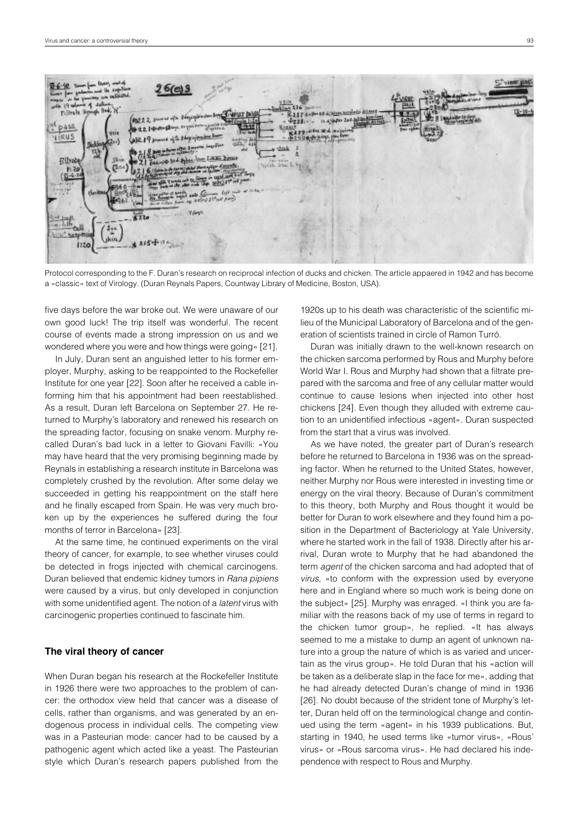

Protocol corresponding to the F. Duran's research on reciprocal infection of ducks and chicken. The article appaered in 1942 and has become a «classic» text of Virology. (Duran Reynals Papers, Countway Library of Medicine, Boston, USA).

five days before the war broke out. We were unaware of our own good luck! The trip itself was wonderful. The recent course of events made a strong impression on us and we wondered where you were and how things were going» [21].

In July, Duran sent an anguished letter to his former employer, Murphy, asking to be reappointed to the Rockefeller Institute for one year [22]. Soon after he received a cable informing him that his appointment had been reestablished. As a result, Duran left Barcelona on September 27. He returned to Murphy's laboratory and renewed his research on the spreading factor, focusing on snake venom. Murphy recalled Duran's bad luck in a letter to Giovani Favilli: «You may have heard that the very promising beginning made by Reynals in establishing a research institute in Barcelona was completely crushed by the revolution. After some delay we succeeded in getting his reappointment on the staff here and he finally escaped from Spain. He was very much broken up by the experiences he suffered during the four months of terror in Barcelona» [23].

At the same time, he continued experiments on the viral theory of cancer, for example, to see whether viruses could be detected in frogs injected with chemical carcinogens. Duran believed that endemic kidney tumors in *Rana pipiens* were caused by a virus, but only developed in conjunction with some unidentified agent. The notion of a *latent* virus with carcinogenic properties continued to fascinate him.

#### **The viral theory of cancer**

When Duran began his research at the Rockefeller Institute in 1926 there were two approaches to the problem of cancer: the orthodox view held that cancer was a disease of cells, rather than organisms, and was generated by an endogenous process in individual cells. The competing view was in a Pasteurian mode: cancer had to be caused by a pathogenic agent which acted like a yeast. The Pasteurian style which Duran's research papers published from the

1920s up to his death was characteristic of the scientific milieu of the Municipal Laboratory of Barcelona and of the generation of scientists trained in circle of Ramon Turró.

Duran was initially drawn to the well-known research on the chicken sarcoma performed by Rous and Murphy before World War I. Rous and Murphy had shown that a filtrate prepared with the sarcoma and free of any cellular matter would continue to cause lesions when injected into other host chickens [24]. Even though they alluded with extreme caution to an unidentified infectious «agent». Duran suspected from the start that a virus was involved.

As we have noted, the greater part of Duran's research before he returned to Barcelona in 1936 was on the spreading factor. When he returned to the United States, however, neither Murphy nor Rous were interested in investing time or energy on the viral theory. Because of Duran's commitment to this theory, both Murphy and Rous thought it would be better for Duran to work elsewhere and they found him a position in the Department of Bacteriology at Yale University, where he started work in the fall of 1938. Directly after his arrival, Duran wrote to Murphy that he had abandoned the term *agent* of the chicken sarcoma and had adopted that of *virus*, «to conform with the expression used by everyone here and in England where so much work is being done on the subject» [25]. Murphy was enraged. «I think you are familiar with the reasons back of my use of terms in regard to the chicken tumor group», he replied. «It has always seemed to me a mistake to dump an agent of unknown nature into a group the nature of which is as varied and uncertain as the virus group». He told Duran that his «action will be taken as a deliberate slap in the face for me», adding that he had already detected Duran's change of mind in 1936 [26]. No doubt because of the strident tone of Murphy's letter, Duran held off on the terminological change and continued using the term «agent» in his 1939 publications. But, starting in 1940, he used terms like «tumor virus», «Rous' virus» or «Rous sarcoma virus». He had declared his independence with respect to Rous and Murphy.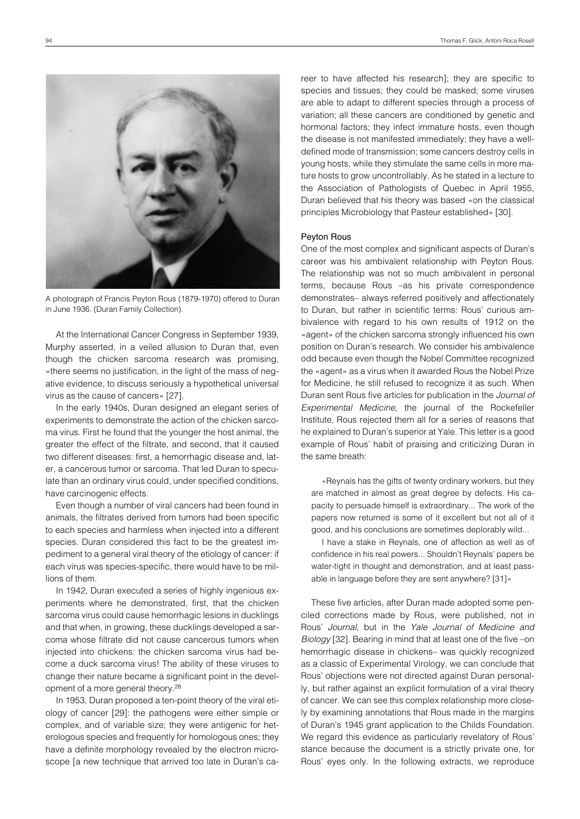

A photograph of Francis Peyton Rous (1879-1970) offered to Duran in June 1936. (Duran Family Collection).

At the International Cancer Congress in September 1939, Murphy asserted, in a veiled allusion to Duran that, even though the chicken sarcoma research was promising, «there seems no justification, in the light of the mass of negative evidence, to discuss seriously a hypothetical universal virus as the cause of cancers» [27].

In the early 1940s, Duran designed an elegant series of experiments to demonstrate the action of the chicken sarcoma virus. First he found that the younger the host animal, the greater the effect of the filtrate, and second, that it caused two different diseases: first, a hemorrhagic disease and, later, a cancerous tumor or sarcoma. That led Duran to speculate than an ordinary virus could, under specified conditions, have carcinogenic effects.

Even though a number of viral cancers had been found in animals, the filtrates derived from tumors had been specific to each species and harmless when injected into a different species. Duran considered this fact to be the greatest impediment to a general viral theory of the etiology of cancer: if each virus was species-specific, there would have to be millions of them.

In 1942, Duran executed a series of highly ingenious experiments where he demonstrated, first, that the chicken sarcoma virus could cause hemorrhagic lesions in ducklings and that when, in growing, these ducklings developed a sarcoma whose filtrate did not cause cancerous tumors when injected into chickens: the chicken sarcoma virus had become a duck sarcoma virus! The ability of these viruses to change their nature became a significant point in the development of a more general theory.28

In 1953, Duran proposed a ten-point theory of the viral etiology of cancer [29]: the pathogens were either simple or complex, and of variable size; they were antigenic for heterologous species and frequently for homologous ones; they have a definite morphology revealed by the electron microscope [a new technique that arrived too late in Duran's career to have affected his research]; they are specific to species and tissues; they could be masked; some viruses are able to adapt to different species through a process of variation; all these cancers are conditioned by genetic and hormonal factors; they infect immature hosts, even though the disease is not manifested immediately; they have a welldefined mode of transmission; some cancers destroy cells in young hosts, while they stimulate the same cells in more mature hosts to grow uncontrollably. As he stated in a lecture to the Association of Pathologists of Quebec in April 1955, Duran believed that his theory was based «on the classical principles Microbiology that Pasteur established» [30].

#### Peyton Rous

One of the most complex and significant aspects of Duran's career was his ambivalent relationship with Peyton Rous. The relationship was not so much ambivalent in personal terms, because Rous –as his private correspondence demonstrates– always referred positively and affectionately to Duran, but rather in scientific terms: Rous' curious ambivalence with regard to his own results of 1912 on the «agent» of the chicken sarcoma strongly influenced his own position on Duran's research. We consider his ambivalence odd because even though the Nobel Committee recognized the «agent» as a virus when it awarded Rous the Nobel Prize for Medicine, he still refused to recognize it as such. When Duran sent Rous five articles for publication in the *Journal of Experimental Medicine*, the journal of the Rockefeller Institute, Rous rejected them all for a series of reasons that he explained to Duran's superior at Yale. This letter is a good example of Rous' habit of praising and criticizing Duran in the same breath:

«Reynals has the gifts of twenty ordinary workers, but they are matched in almost as great degree by defects. His capacity to persuade himself is extraordinary... The work of the papers now returned is some of it excellent but not all of it good, and his conclusions are sometimes deplorably wild...

I have a stake in Reynals, one of affection as well as of confidence in his real powers... Shouldn't Reynals' papers be water-tight in thought and demonstration, and at least passable in language before they are sent anywhere? [31]»

These five articles, after Duran made adopted some penciled corrections made by Rous, were published, not in Rous' *Journal*, but in the *Yale Journal of Medicine and Biology* [32]. Bearing in mind that at least one of the five –on hemorrhagic disease in chickens– was quickly recognized as a classic of Experimental Virology, we can conclude that Rous' objections were not directed against Duran personally, but rather against an explicit formulation of a viral theory of cancer. We can see this complex relationship more closely by examining annotations that Rous made in the margins of Duran's 1945 grant application to the Childs Foundation. We regard this evidence as particularly revelatory of Rous' stance because the document is a strictly private one, for Rous' eyes only. In the following extracts, we reproduce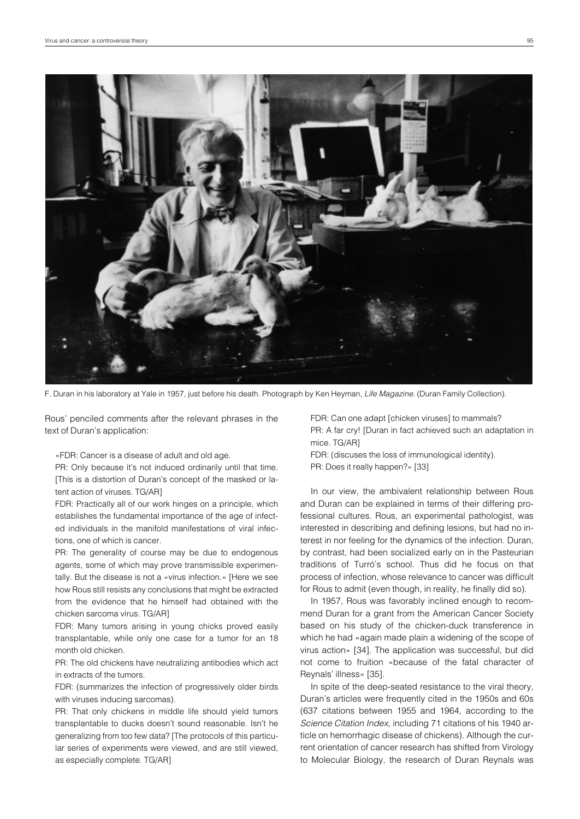

F. Duran in his laboratory at Yale in 1957, just before his death. Photograph by Ken Heyman, *Life Magazine*. (Duran Family Collection).

Rous' penciled comments after the relevant phrases in the text of Duran's application:

«FDR: Cancer is a disease of adult and old age.

PR: Only because it's not induced ordinarily until that time. [This is a distortion of Duran's concept of the masked or latent action of viruses. TG/AR]

FDR: Practically all of our work hinges on a principle, which establishes the fundamental importance of the age of infected individuals in the manifold manifestations of viral infections, one of which is cancer.

PR: The generality of course may be due to endogenous agents, some of which may prove transmissible experimentally. But the disease is not a «virus infection.» [Here we see how Rous still resists any conclusions that might be extracted from the evidence that he himself had obtained with the chicken sarcoma virus. TG/AR]

FDR: Many tumors arising in young chicks proved easily transplantable, while only one case for a tumor for an 18 month old chicken.

PR: The old chickens have neutralizing antibodies which act in extracts of the tumors.

FDR: (summarizes the infection of progressively older birds with viruses inducing sarcomas).

PR: That only chickens in middle life should yield tumors transplantable to ducks doesn't sound reasonable. Isn't he generalizing from too few data? [The protocols of this particular series of experiments were viewed, and are still viewed, as especially complete. TG/AR]

FDR: Can one adapt [chicken viruses] to mammals? PR: A far cry! [Duran in fact achieved such an adaptation in mice. TG/AR]

FDR: (discuses the loss of immunological identity). PR: Does it really happen?» [33]

In our view, the ambivalent relationship between Rous and Duran can be explained in terms of their differing professional cultures. Rous, an experimental pathologist, was interested in describing and defining lesions, but had no interest in nor feeling for the dynamics of the infection. Duran, by contrast, had been socialized early on in the Pasteurian traditions of Turró's school. Thus did he focus on that process of infection, whose relevance to cancer was difficult for Rous to admit (even though, in reality, he finally did so).

In 1957, Rous was favorably inclined enough to recommend Duran for a grant from the American Cancer Society based on his study of the chicken-duck transference in which he had «again made plain a widening of the scope of virus action» [34]. The application was successful, but did not come to fruition «because of the fatal character of Reynals' illness» [35].

In spite of the deep-seated resistance to the viral theory, Duran's articles were frequently cited in the 1950s and 60s (637 citations between 1955 and 1964, according to the *Science Citation Index*, including 71 citations of his 1940 article on hemorrhagic disease of chickens). Although the current orientation of cancer research has shifted from Virology to Molecular Biology, the research of Duran Reynals was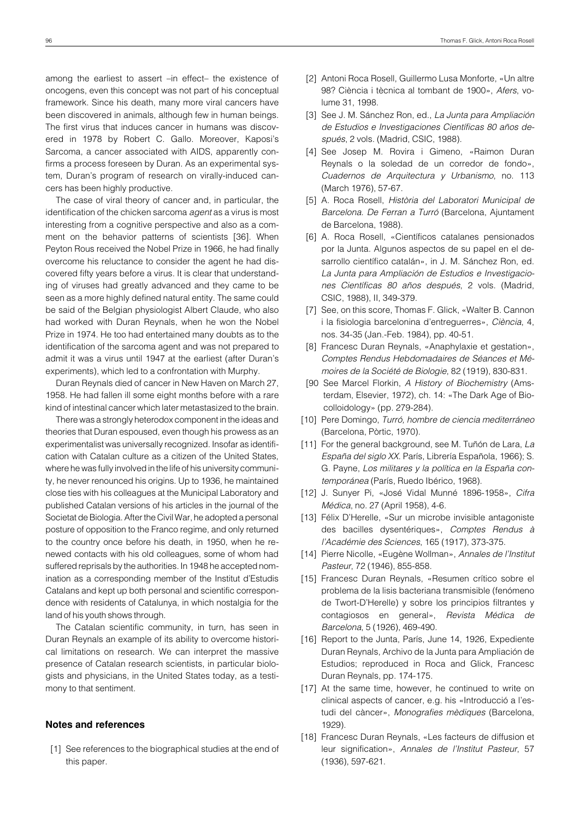among the earliest to assert –in effect– the existence of oncogens, even this concept was not part of his conceptual framework. Since his death, many more viral cancers have been discovered in animals, although few in human beings. The first virus that induces cancer in humans was discovered in 1978 by Robert C. Gallo. Moreover, Kaposi's Sarcoma, a cancer associated with AIDS, apparently confirms a process foreseen by Duran. As an experimental system, Duran's program of research on virally-induced cancers has been highly productive.

The case of viral theory of cancer and, in particular, the identification of the chicken sarcoma *agent* as a virus is most interesting from a cognitive perspective and also as a comment on the behavior patterns of scientists [36]. When Peyton Rous received the Nobel Prize in 1966, he had finally overcome his reluctance to consider the agent he had discovered fifty years before a virus. It is clear that understanding of viruses had greatly advanced and they came to be seen as a more highly defined natural entity. The same could be said of the Belgian physiologist Albert Claude, who also had worked with Duran Reynals, when he won the Nobel Prize in 1974. He too had entertained many doubts as to the identification of the sarcoma agent and was not prepared to admit it was a virus until 1947 at the earliest (after Duran's experiments), which led to a confrontation with Murphy.

Duran Reynals died of cancer in New Haven on March 27, 1958. He had fallen ill some eight months before with a rare kind of intestinal cancer which later metastasized to the brain.

There was a strongly heterodox component in the ideas and theories that Duran espoused, even though his prowess as an experimentalist was universally recognized. Insofar as identification with Catalan culture as a citizen of the United States, where he was fully involved in the life of his university community, he never renounced his origins. Up to 1936, he maintained close ties with his colleagues at the Municipal Laboratory and published Catalan versions of his articles in the journal of the Societat de Biologia. After the Civil War, he adopted a personal posture of opposition to the Franco regime, and only returned to the country once before his death, in 1950, when he renewed contacts with his old colleagues, some of whom had suffered reprisals by the authorities. In 1948 he accepted nomination as a corresponding member of the Institut d'Estudis Catalans and kept up both personal and scientific correspondence with residents of Catalunya, in which nostalgia for the land of his youth shows through.

The Catalan scientific community, in turn, has seen in Duran Reynals an example of its ability to overcome historical limitations on research. We can interpret the massive presence of Catalan research scientists, in particular biologists and physicians, in the United States today, as a testimony to that sentiment.

## **Notes and references**

[1] See references to the biographical studies at the end of this paper.

- [2] Antoni Roca Rosell, Guillermo Lusa Monforte, «Un altre 98? Ciència i tècnica al tombant de 1900», *Afers*, volume 31, 1998.
- [3] See J. M. Sánchez Ron, ed., *La Junta para Ampliación de Estudios e Investigaciones Científicas 80 años después*, 2 vols. (Madrid, CSIC, 1988).
- [4] See Josep M. Rovira i Gimeno, «Raimon Duran Reynals o la soledad de un corredor de fondo», *Cuadernos de Arquitectura y Urbanismo*, no. 113 (March 1976), 57-67.
- [5] A. Roca Rosell, *Història del Laboratori Municipal de Barcelona. De Ferran a Turró* (Barcelona, Ajuntament de Barcelona, 1988).
- [6] A. Roca Rosell, «Científicos catalanes pensionados por la Junta. Algunos aspectos de su papel en el desarrollo científico catalán», in J. M. Sánchez Ron, ed. *La Junta para Ampliación de Estudios e Investigaciones Científicas 80 años después*, 2 vols. (Madrid, CSIC, 1988), II, 349-379.
- [7] See, on this score, Thomas F. Glick, «Walter B. Cannon i la fisiologia barcelonina d'entreguerres», *Ciència*, 4, nos. 34-35 (Jan.-Feb. 1984), pp. 40-51.
- [8] Francesc Duran Reynals, «Anaphylaxie et gestation», *Comptes Rendus Hebdomadaires de Séances et Mémoires de la Société de Biologie*, 82 (1919), 830-831.
- [90 See Marcel Florkin, *A History of Biochemistry* (Amsterdam, Elsevier, 1972), ch. 14: «The Dark Age of Biocolloidology» (pp. 279-284).
- [10] Pere Domingo, *Turró, hombre de ciencia mediterráneo* (Barcelona, Pòrtic, 1970).
- [11] For the general background, see M. Tuñón de Lara, *La España del siglo XX*. París, Librería Española, 1966); S. G. Payne, *Los militares y la política en la España contemporánea* (París, Ruedo Ibérico, 1968).
- [12] J. Sunyer Pi, «José Vidal Munné 1896-1958», *Cifra Médica*, no. 27 (April 1958), 4-6.
- [13] Félix D'Herelle, «Sur un microbe invisible antagoniste des bacilles dysentériques», *Comptes Rendus à l'Académie des Sciences*, 165 (1917), 373-375.
- [14] Pierre Nicolle, «Eugène Wollman», *Annales de l'Institut Pasteur*, 72 (1946), 855-858.
- [15] Francesc Duran Reynals, «Resumen crítico sobre el problema de la lisis bacteriana transmisible (fenómeno de Twort-D'Herelle) y sobre los principios filtrantes y contagiosos en general», *Revista Médica de Barcelona*, 5 (1926), 469-490.
- [16] Report to the Junta, París, June 14, 1926, Expediente Duran Reynals, Archivo de la Junta para Ampliación de Estudios; reproduced in Roca and Glick, Francesc Duran Reynals, pp. 174-175.
- [17] At the same time, however, he continued to write on clinical aspects of cancer, e.g. his «Introducció a l'estudi del càncer», *Monografies mèdiques* (Barcelona, 1929).
- [18] Francesc Duran Reynals, «Les facteurs de diffusion et leur signification», *Annales de l'Institut Pasteur*, 57 (1936), 597-621.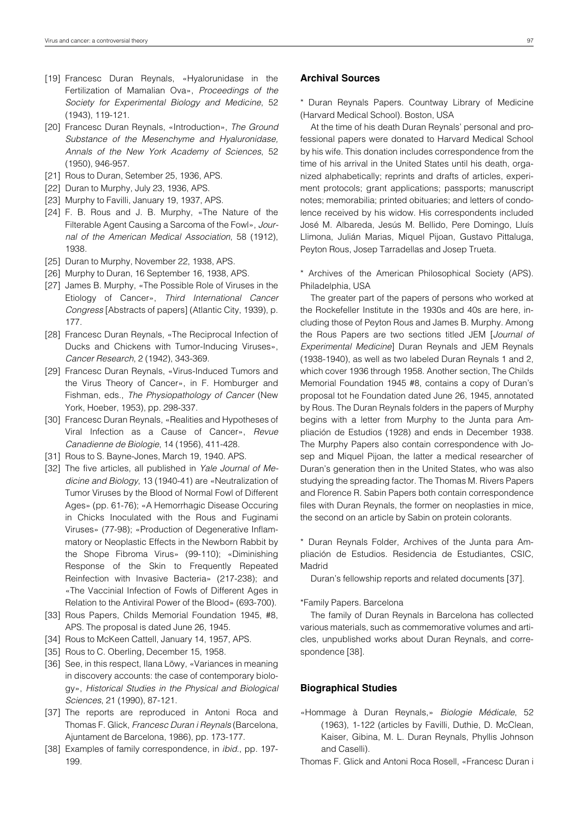- [19] Francesc Duran Reynals, «Hyalorunidase in the Fertilization of Mamalian Ova», *Proceedings of the Society for Experimental Biology and Medicine*, 52 (1943), 119-121.
- [20] Francesc Duran Reynals, «Introduction», *The Ground Substance of the Mesenchyme and Hyaluronidase, Annals of the New York Academy of Sciences*, 52 (1950), 946-957.
- [21] Rous to Duran, Setember 25, 1936, APS.
- [22] Duran to Murphy, July 23, 1936, APS.
- [23] Murphy to Favilli, January 19, 1937, APS.
- [24] F. B. Rous and J. B. Murphy, «The Nature of the Filterable Agent Causing a Sarcoma of the Fowl», *Journal of the American Medical Association*, 58 (1912), 1938.
- [25] Duran to Murphy, November 22, 1938, APS.
- [26] Murphy to Duran, 16 September 16, 1938, APS.
- [27] James B. Murphy, «The Possible Role of Viruses in the Etiology of Cancer», *Third International Cancer Congress* [Abstracts of papers] (Atlantic City, 1939), p. 177.
- [28] Francesc Duran Reynals, «The Reciprocal Infection of Ducks and Chickens with Tumor-Inducing Viruses», *Cancer Research*, 2 (1942), 343-369.
- [29] Francesc Duran Reynals, «Virus-Induced Tumors and the Virus Theory of Cancer», in F. Homburger and Fishman, eds., *The Physiopathology of Cancer* (New York, Hoeber, 1953), pp. 298-337.
- [30] Francesc Duran Reynals, «Realities and Hypotheses of Viral Infection as a Cause of Cancer», *Revue Canadienne de Biologie*, 14 (1956), 411-428.
- [31] Rous to S. Bayne-Jones, March 19, 1940. APS.
- [32] The five articles, all published in *Yale Journal of Medicine and Biology*, 13 (1940-41) are «Neutralization of Tumor Viruses by the Blood of Normal Fowl of Different Ages» (pp. 61-76); «A Hemorrhagic Disease Occuring in Chicks Inoculated with the Rous and Fuginami Viruses» (77-98); «Production of Degenerative Inflammatory or Neoplastic Effects in the Newborn Rabbit by the Shope Fibroma Virus» (99-110); «Diminishing Response of the Skin to Frequently Repeated Reinfection with Invasive Bacteria» (217-238); and «The Vaccinial Infection of Fowls of Different Ages in Relation to the Antiviral Power of the Blood» (693-700).
- [33] Rous Papers, Childs Memorial Foundation 1945, #8, APS. The proposal is dated June 26, 1945.
- [34] Rous to McKeen Cattell, January 14, 1957, APS.
- [35] Rous to C. Oberling, December 15, 1958.
- [36] See, in this respect, Ilana Löwy, «Variances in meaning in discovery accounts: the case of contemporary biology», *Historical Studies in the Physical and Biological Sciences*, 21 (1990), 87-121.
- [37] The reports are reproduced in Antoni Roca and Thomas F. Glick, *Francesc Duran i Reynals* (Barcelona, Ajuntament de Barcelona, 1986), pp. 173-177.
- [38] Examples of family correspondence, in *ibid*., pp. 197- 199.

## **Archival Sources**

\* Duran Reynals Papers. Countway Library of Medicine (Harvard Medical School). Boston, USA

At the time of his death Duran Reynals' personal and professional papers were donated to Harvard Medical School by his wife. This donation includes correspondence from the time of his arrival in the United States until his death, organized alphabetically; reprints and drafts of articles, experiment protocols; grant applications; passports; manuscript notes; memorabilia; printed obituaries; and letters of condolence received by his widow. His correspondents included José M. Albareda, Jesús M. Bellido, Pere Domingo, Lluís Llimona, Julián Marias, Miquel Pijoan, Gustavo Pittaluga, Peyton Rous, Josep Tarradellas and Josep Trueta.

\* Archives of the American Philosophical Society (APS). Philadelphia, USA

The greater part of the papers of persons who worked at the Rockefeller Institute in the 1930s and 40s are here, including those of Peyton Rous and James B. Murphy. Among the Rous Papers are two sections titled JEM [*Journal of Experimental Medicine*] Duran Reynals and JEM Reynals (1938-1940), as well as two labeled Duran Reynals 1 and 2, which cover 1936 through 1958. Another section, The Childs Memorial Foundation 1945 #8, contains a copy of Duran's proposal tot he Foundation dated June 26, 1945, annotated by Rous. The Duran Reynals folders in the papers of Murphy begins with a letter from Murphy to the Junta para Ampliación de Estudios (1928) and ends in December 1938. The Murphy Papers also contain correspondence with Josep and Miquel Pijoan, the latter a medical researcher of Duran's generation then in the United States, who was also studying the spreading factor. The Thomas M. Rivers Papers and Florence R. Sabin Papers both contain correspondence files with Duran Reynals, the former on neoplasties in mice, the second on an article by Sabin on protein colorants.

\* Duran Reynals Folder, Archives of the Junta para Ampliación de Estudios. Residencia de Estudiantes, CSIC, Madrid

Duran's fellowship reports and related documents [37].

#### \*Family Papers. Barcelona

The family of Duran Reynals in Barcelona has collected various materials, such as commemorative volumes and articles, unpublished works about Duran Reynals, and correspondence [38].

## **Biographical Studies**

- «Hommage à Duran Reynals,» *Biologie Médicale*, 52 (1963), 1-122 (articles by Favilli, Duthie, D. McClean, Kaiser, Gibina, M. L. Duran Reynals, Phyllis Johnson and Caselli).
- Thomas F. Glick and Antoni Roca Rosell, «Francesc Duran i